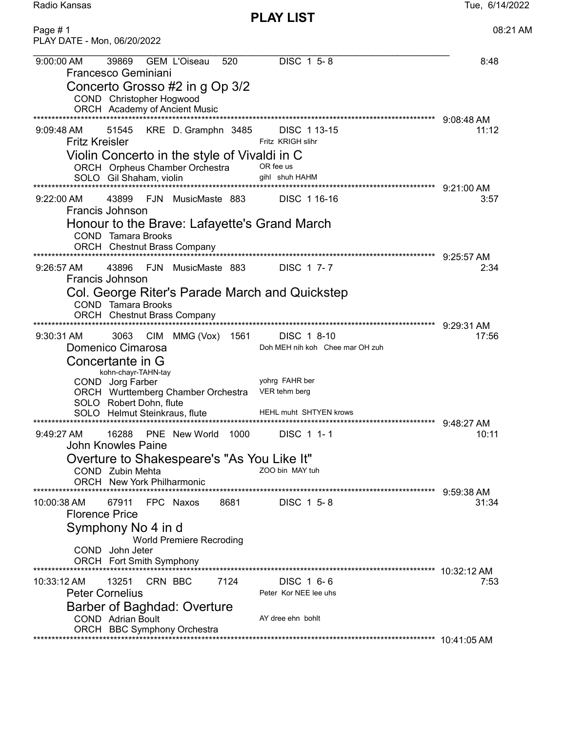Radio Kansas Tue, 6/14/2022

| Page #1<br>PLAY DATE - Mon, 06/20/2022                                                                                                                                                                                                                                                                                                                                            | 08:21 AM            |
|-----------------------------------------------------------------------------------------------------------------------------------------------------------------------------------------------------------------------------------------------------------------------------------------------------------------------------------------------------------------------------------|---------------------|
| DISC 1 5-8<br>39869<br><b>GEM L'Oiseau</b><br>9:00:00 AM<br>520<br><b>Francesco Geminiani</b><br>Concerto Grosso #2 in g Op 3/2<br>COND Christopher Hogwood<br>ORCH Academy of Ancient Music                                                                                                                                                                                      | 8:48                |
| *************<br>KRE D. Gramphn 3485<br>DISC 113-15<br>$9:09:48 \text{ AM}$<br>51545<br><b>Fritz Kreisler</b><br>Fritz KRIGH slihr<br>Violin Concerto in the style of Vivaldi in C<br>ORCH Orpheus Chamber Orchestra<br>OR fee us<br>gihl shuh HAHM<br>SOLO Gil Shaham, violin                                                                                                    | 9:08:48 AM<br>11:12 |
| 43899<br>FJN MusicMaste 883<br>$9:22:00$ AM<br>DISC 1 16-16<br>Francis Johnson<br>Honour to the Brave: Lafayette's Grand March<br><b>COND</b> Tamara Brooks<br><b>ORCH</b> Chestnut Brass Company<br>*************                                                                                                                                                                | 3:57                |
| 43896<br>FJN MusicMaste 883<br>DISC 1 7-7<br>$9:26:57$ AM<br>Francis Johnson<br>Col. George Riter's Parade March and Quickstep<br><b>COND</b> Tamara Brooks<br><b>ORCH</b> Chestnut Brass Company                                                                                                                                                                                 | 9:25:57 AM<br>2:34  |
| 3063<br>MMG (Vox)<br>DISC 1 8-10<br>9:30:31 AM<br>CIM<br>1561<br>Domenico Cimarosa<br>Doh MEH nih koh Chee mar OH zuh<br>Concertante in G<br>kohn-chayr-TAHN-tay<br>yohrg FAHR ber<br>COND Jorg Farber<br>ORCH Wurttemberg Chamber Orchestra<br>VER tehm berg<br>SOLO Robert Dohn, flute<br><b>HEHL muht SHTYEN krows</b><br>SOLO Helmut Steinkraus, flute<br>******************* | 9:29:31 AM<br>17:56 |
| 16288<br>PNE New World<br>1000<br>DISC 1 1-1<br>9:49:27 AM<br>John Knowles Paine<br>Overture to Shakespeare's "As You Like It"<br>ZOO bin MAY tuh<br>COND Zubin Mehta<br>ORCH New York Philharmonic                                                                                                                                                                               | 9:48:27 AM<br>10:11 |
| 8681<br>67911<br>FPC Naxos<br>DISC 1 5-8<br>$10:00:38$ AM<br><b>Florence Price</b><br>Symphony No 4 in d<br><b>World Premiere Recroding</b><br>COND John Jeter<br>ORCH Fort Smith Symphony                                                                                                                                                                                        | 9:59:38 AM<br>31:34 |
| 7124<br>10:33:12 AM<br>13251<br>CRN BBC<br>DISC 1 6-6<br><b>Peter Cornelius</b><br>Peter Kor NEE lee uhs<br>Barber of Baghdad: Overture<br><b>COND</b> Adrian Boult<br>AY dree ehn bohlt<br>ORCH BBC Symphony Orchestra<br>****************                                                                                                                                       | 10:32:12 AM<br>7:53 |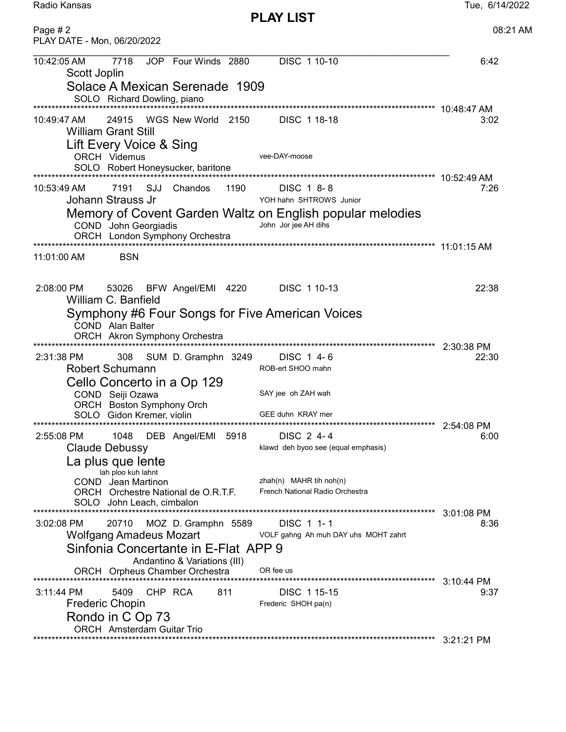Radio Kansas

| Page $# 2$<br>PLAY DATE - Mon, 06/20/2022                                                                                                   | 08:21 AM             |
|---------------------------------------------------------------------------------------------------------------------------------------------|----------------------|
| DISC 1 10-10<br>10:42:05 AM<br>7718<br>JOP Four Winds 2880<br>Scott Joplin<br>Solace A Mexican Serenade 1909                                | 6:42                 |
| SOLO Richard Dowling, piano                                                                                                                 |                      |
|                                                                                                                                             |                      |
| WGS New World 2150<br>10:49:47 AM<br>24915<br>DISC 118-18<br><b>William Grant Still</b><br>Lift Every Voice & Sing                          | 3:02                 |
| vee-DAY-moose<br><b>ORCH Videmus</b><br>SOLO Robert Honeysucker, baritone                                                                   |                      |
|                                                                                                                                             |                      |
| 7191 SJJ Chandos<br>1190<br>10:53:49 AM<br>DISC 1 8-8<br>Johann Strauss Jr<br>YOH hahn SHTROWS Junior                                       | 7:26                 |
| Memory of Covent Garden Waltz on English popular melodies<br>John Jor jee AH dihs<br>COND John Georgiadis<br>ORCH London Symphony Orchestra |                      |
|                                                                                                                                             |                      |
| <b>BSN</b><br>11:01:00 AM                                                                                                                   |                      |
| 53026 BFW Angel/EMI 4220<br>DISC 1 10-13<br>2:08:00 PM<br>William C. Banfield                                                               | 22:38                |
| Symphony #6 Four Songs for Five American Voices<br>COND Alan Balter<br>ORCH Akron Symphony Orchestra                                        |                      |
|                                                                                                                                             | 2:30:38 PM           |
| SUM D. Gramphn 3249<br>DISC 1 4-6<br>2:31:38 PM<br>308                                                                                      | 22:30                |
| <b>Robert Schumann</b><br>ROB-ert SHOO mahn                                                                                                 |                      |
| Cello Concerto in a Op 129<br>SAY jee oh ZAH wah<br>COND Seiji Ozawa                                                                        |                      |
| ORCH Boston Symphony Orch                                                                                                                   |                      |
| GEE duhn KRAY mer<br>SOLO Gidon Kremer, violin                                                                                              |                      |
| 2:55:08 PM<br>1048 DEB Angel/EMI 5918<br>DISC 2 4-4                                                                                         | 6:00                 |
| Claude Debussy<br>klawd deh byoo see (equal emphasis)                                                                                       |                      |
| La plus que lente                                                                                                                           |                      |
| lah ploo kuh lahnt<br>zhah $(n)$ MAHR tih noh $(n)$<br>COND Jean Martinon                                                                   |                      |
| French National Radio Orchestra<br>ORCH Orchestre National de O.R.T.F.<br>SOLO John Leach, cimbalon                                         |                      |
| 3:02:08 PM<br>20710<br>MOZ D. Gramphn 5589<br>DISC 1 1-1                                                                                    | $3:01:08$ PM<br>8:36 |
| <b>Wolfgang Amadeus Mozart</b><br>VOLF gahng Ah muh DAY uhs MOHT zahrt                                                                      |                      |
| Sinfonia Concertante in E-Flat APP 9<br>Andantino & Variations (III)                                                                        |                      |
| OR fee us<br>ORCH Orpheus Chamber Orchestra                                                                                                 | 3:10:44 PM           |
| 3:11:44 PM<br>5409<br>CHP RCA<br>811<br>DISC 115-15                                                                                         | 9:37                 |
| Frederic Chopin<br>Frederic SHOH pa(n)                                                                                                      |                      |
| Rondo in C Op 73<br><b>ORCH</b> Amsterdam Guitar Trio                                                                                       |                      |
|                                                                                                                                             |                      |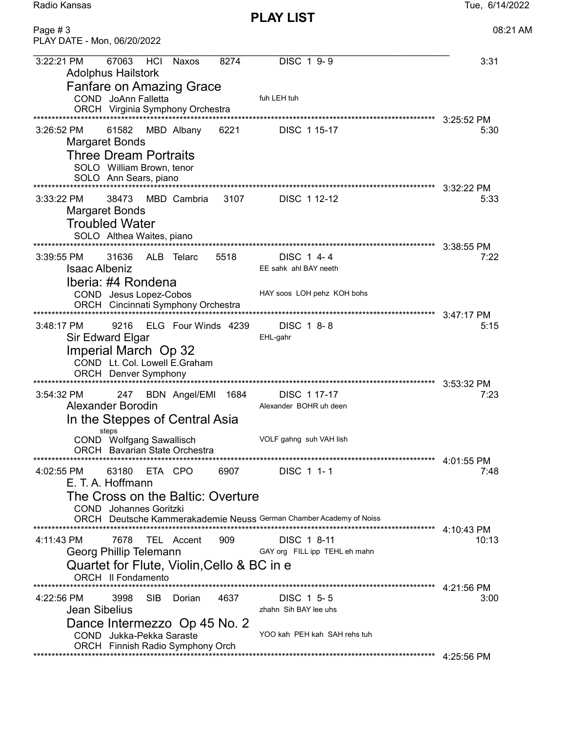Radio Kansas Tue, 6/14/2022

| Page #3<br>PLAY DATE - Mon, 06/20/2022                                                                                                                                                                                                              |                                                                     | 08:21 AM                           |
|-----------------------------------------------------------------------------------------------------------------------------------------------------------------------------------------------------------------------------------------------------|---------------------------------------------------------------------|------------------------------------|
| 3:22:21 PM<br>67063<br>HCI<br>8274<br>Naxos<br><b>Adolphus Hailstork</b>                                                                                                                                                                            | DISC 1 9-9                                                          | 3:31                               |
| <b>Fanfare on Amazing Grace</b><br>COND JoAnn Falletta<br>ORCH Virginia Symphony Orchestra                                                                                                                                                          | fuh LEH tuh                                                         |                                    |
| 3:26:52 PM<br>61582<br>MBD Albany<br>6221<br>Margaret Bonds<br><b>Three Dream Portraits</b><br>SOLO William Brown, tenor<br>SOLO Ann Sears, piano                                                                                                   | *********************************<br>DISC 1 15-17                   | 3:25:52 PM<br>5:30                 |
| 3107<br>3:33:22 PM<br>38473<br>MBD Cambria<br><b>Margaret Bonds</b><br><b>Troubled Water</b><br>SOLO Althea Waites, piano                                                                                                                           | DISC 1 12-12                                                        | 5:33                               |
| 31636<br>ALB Telarc<br>5518<br>$3:39:55$ PM<br><b>Isaac Albeniz</b><br>Iberia: #4 Rondena<br>COND Jesus Lopez-Cobos<br>ORCH Cincinnati Symphony Orchestra                                                                                           | DISC 1 4-4<br>EE sahk ahl BAY neeth<br>HAY soos LOH pehz KOH bohs   | 3:38:55 PM<br>7:22<br>$3:47:17$ PM |
| ELG Four Winds 4239<br>3:48:17 PM<br>9216<br>Sir Edward Elgar<br>Imperial March Op 32<br>COND Lt. Col. Lowell E.Graham                                                                                                                              | DISC 1 8-8<br>EHL-gahr                                              | 5:15                               |
| 3:54:32 PM<br>BDN Angel/EMI 1684<br>247<br><b>Alexander Borodin</b><br>In the Steppes of Central Asia<br>steps                                                                                                                                      | DISC 117-17<br>Alexander BOHR uh deen                               | $3:53:32$ PM<br>7:23               |
| COND Wolfgang Sawallisch<br><b>ORCH</b> Bavarian State Orchestra<br>63180<br>6907<br>ETA CPO<br>4:02:55 PM<br>E. T. A. Hoffmann<br>The Cross on the Baltic: Overture                                                                                | VOLF gahng suh VAH lish<br>DISC 1 1-1                               | $4:01:55$ PM<br>7:48               |
| <b>COND</b> Johannes Goritzki<br>ORCH Deutsche Kammerakademie Neuss German Chamber Academy of Noiss<br>4:11:43 PM<br>7678<br>TEL Accent<br>909<br>Georg Phillip Telemann<br>Quartet for Flute, Violin, Cello & BC in e<br><b>ORCH II Fondamento</b> | DISC 1 8-11<br>GAY org FILL ipp TEHL eh mahn                        | 4:10:43 PM<br>10:13                |
| 4:22:56 PM<br>3998<br><b>SIB</b><br>Dorian<br>4637<br><b>Jean Sibelius</b><br>Dance Intermezzo Op 45 No. 2<br>COND Jukka-Pekka Saraste<br>ORCH Finnish Radio Symphony Orch                                                                          | DISC 1 5-5<br>zhahn Sih BAY lee uhs<br>YOO kah PEH kah SAH rehs tuh | 4:21:56 PM<br>3:00                 |
|                                                                                                                                                                                                                                                     |                                                                     | 4:25:56 PM                         |